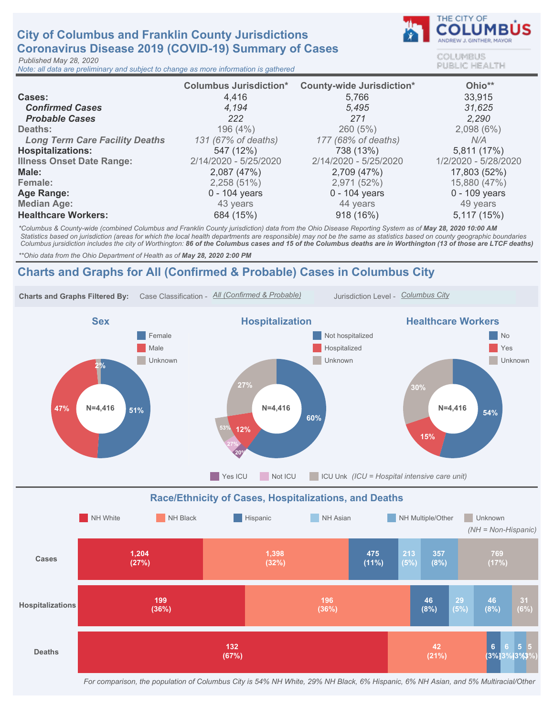## **City of Columbus and Franklin County Jurisdictions** Coronavirus Disease 2019 (COVID-19) Summary of Cases

Published May 28, 2020

Note: all data are preliminary and subject to change as more information is gathered



COLUMBUS **PUBLIC HEALTH** 

|                                       | <b>Columbus Jurisdiction*</b> | <b>County-wide Jurisdiction*</b> | Ohio**               |
|---------------------------------------|-------------------------------|----------------------------------|----------------------|
| Cases:                                | 4,416                         | 5,766                            | 33,915               |
| <b>Confirmed Cases</b>                | 4.194                         | 5.495                            | 31,625               |
| <b>Probable Cases</b>                 | 222                           | 271                              | 2.290                |
| Deaths:                               | 196(4%)                       | 260(5%)                          | 2,098(6%)            |
| <b>Long Term Care Facility Deaths</b> | 131 (67% of deaths)           | 177 (68% of deaths)              | N/A                  |
| <b>Hospitalizations:</b>              | 547 (12%)                     | 738 (13%)                        | 5,811 (17%)          |
| <b>Illness Onset Date Range:</b>      | 2/14/2020 - 5/25/2020         | 2/14/2020 - 5/25/2020            | 1/2/2020 - 5/28/2020 |
| Male:                                 | 2,087(47%)                    | 2,709 (47%)                      | 17,803 (52%)         |
| Female:                               | 2,258(51%)                    | 2,971 (52%)                      | 15,880 (47%)         |
| Age Range:                            | $0 - 104$ years               | 0 - 104 years                    | $0 - 109$ years      |
| <b>Median Age:</b>                    | 43 years                      | 44 years                         | 49 years             |
| <b>Healthcare Workers:</b>            | 684 (15%)                     | 918 (16%)                        | 5,117(15%)           |

\*Columbus & County-wide (combined Columbus and Franklin County jurisdiction) data from the Ohio Disease Reporting System as of May 28, 2020 10:00 AM Statistics based on jurisdiction (areas for which the local health departments are responsible) may not be the same as statistics based on county geographic boundaries Columbus jursidiction includes the city of Worthington: 86 of the Columbus cases and 15 of the Columbus deaths are in Worthington (13 of those are LTCF deaths)

\*\* Ohio data from the Ohio Department of Health as of May 28, 2020 2:00 PM

## Charts and Graphs for All (Confirmed & Probable) Cases in Columbus City



For comparison, the population of Columbus City is 54% NH White, 29% NH Black, 6% Hispanic, 6% NH Asian, and 5% Multiracial/Other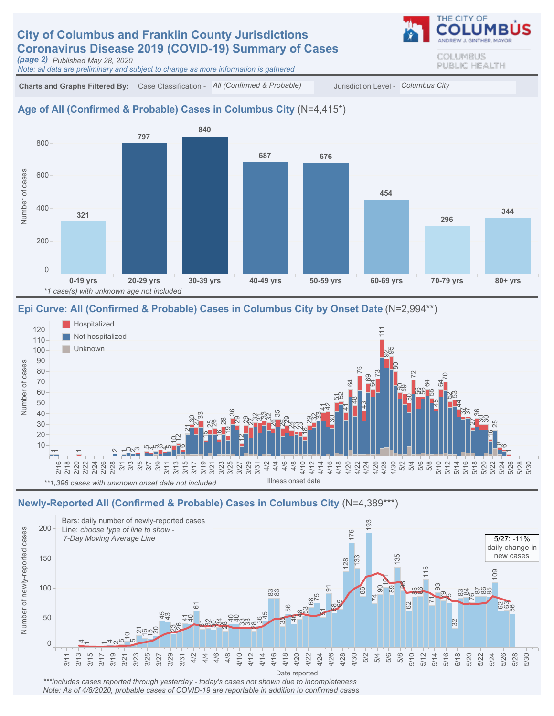# **City of Columbus and Franklin County Jurisdictions** Coronavirus Disease 2019 (COVID-19) Summary of Cases

(page 2) Published May 28, 2020

Note: all data are preliminary and subject to change as more information is gathered

Charts and Graphs Filtered By: Case Classification - All (Confirmed & Probable) Jurisdiction Level - Columbus City

#### Age of All (Confirmed & Probable) Cases in Columbus City (N=4,415\*)



#### Epi Curve: All (Confirmed & Probable) Cases in Columbus City by Onset Date (N=2,994\*\*)



### Newly-Reported All (Confirmed & Probable) Cases in Columbus City (N=4,389\*\*\*)



\*\*\*Includes cases reported through yesterday - today's cases not shown due to incompleteness Note: As of 4/8/2020, probable cases of COVID-19 are reportable in addition to confirmed cases COLUMBUS PUBLIC HEALTH

THE CITY OF